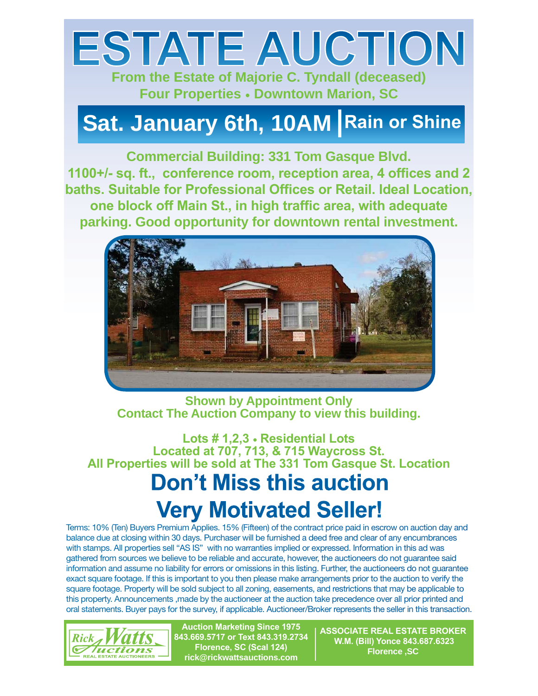## **ESTATE AUCTION From the Estate of Majorie C. Tyndall (deceased)**

**Four Properties** • **Downtown Marion, SC**

## **Sat. January 6th, 10AM Rain or Shine**

**Commercial Building: 331 Tom Gasque Blvd.** 1100+/- sq. ft., conference room, reception area, 4 offices and 2 baths. Suitable for Professional Offices or Retail. Ideal Location, one block off Main St., in high traffic area, with adequate **parking. Good opportunity for downtown rental investment.** 



**Shown by Appointment Only Contact The Auction Company to view this building.**

## Lots # 1,2,3 · Residential Lots Located at 707, 713, & 715 Waycross St. **All Properties will be sold at The 331 Tom Gasque St. Location Don't Miss this auction Very Motivated Seller!**

Terms: 10% (Ten) Buyers Premium Applies. 15% (Fifteen) of the contract price paid in escrow on auction day and balance due at closing within 30 days. Purchaser will be furnished a deed free and clear of any encumbrances with stamps. All properties sell "AS IS" with no warranties implied or expressed. Information in this ad was gathered from sources we believe to be reliable and accurate, however, the auctioneers do not guarantee said information and assume no liability for errors or omissions in this listing. Further, the auctioneers do not guarantee exact square footage. If this is important to you then please make arrangements prior to the auction to verify the square footage. Property will be sold subject to all zoning, easements, and restrictions that may be applicable to this property. Announcements ,made by the auctioneer at the auction take precedence over all prior printed and oral statements. Buyer pays for the survey, if applicable. Auctioneer/Broker represents the seller in this transaction.



**Auction Marketing Since 1975** 843.669.5717 or Text 843.319.2734 **Florence, SC (Scal 124) rick@rickwattsauctions.com**

**ASSOCIATE REAL ESTATE BROKER** W.M. (Bill) Yonce 843.687.6323 **Florence ,SC**